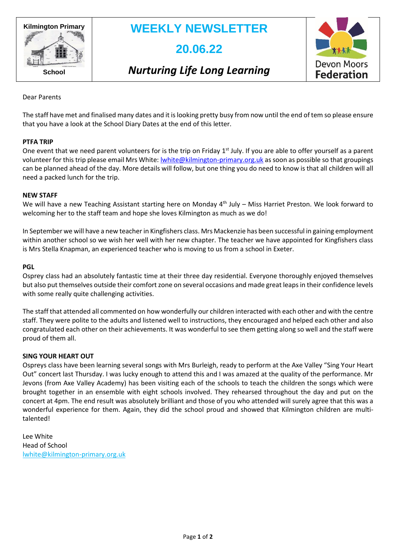

# **WEEKLY NEWSLETTER**

# **20.06.22**

### *Nurturing Life Long Learning*



Dear Parents

The staff have met and finalised many dates and it is looking pretty busy from now until the end of tem so please ensure that you have a look at the School Diary Dates at the end of this letter.

#### **PTFA TRIP**

One event that we need parent volunteers for is the trip on Friday  $1<sup>st</sup>$  July. If you are able to offer yourself as a parent volunteer for this trip please email Mrs White: [lwhite@kilmington-primary.org.uk](mailto:lwhite@kilmington-primary.org.uk) as soon as possible so that groupings can be planned ahead of the day. More details will follow, but one thing you do need to know is that all children will all need a packed lunch for the trip.

#### **NEW STAFF**

We will have a new Teaching Assistant starting here on Monday 4<sup>th</sup> July – Miss Harriet Preston. We look forward to welcoming her to the staff team and hope she loves Kilmington as much as we do!

In September we will have a new teacher in Kingfishers class. Mrs Mackenzie has been successful in gaining employment within another school so we wish her well with her new chapter. The teacher we have appointed for Kingfishers class is Mrs Stella Knapman, an experienced teacher who is moving to us from a school in Exeter.

#### **PGL**

Osprey class had an absolutely fantastic time at their three day residential. Everyone thoroughly enjoyed themselves but also put themselves outside their comfort zone on several occasions and made great leaps in their confidence levels with some really quite challenging activities.

The staff that attended all commented on how wonderfully our children interacted with each other and with the centre staff. They were polite to the adults and listened well to instructions, they encouraged and helped each other and also congratulated each other on their achievements. It was wonderful to see them getting along so well and the staff were proud of them all.

#### **SING YOUR HEART OUT**

Ospreys class have been learning several songs with Mrs Burleigh, ready to perform at the Axe Valley "Sing Your Heart Out" concert last Thursday. I was lucky enough to attend this and I was amazed at the quality of the performance. Mr Jevons (from Axe Valley Academy) has been visiting each of the schools to teach the children the songs which were brought together in an ensemble with eight schools involved. They rehearsed throughout the day and put on the concert at 4pm. The end result was absolutely brilliant and those of you who attended will surely agree that this was a wonderful experience for them. Again, they did the school proud and showed that Kilmington children are multitalented!

Lee White Head of School [lwhite@kilmington-primary.org.uk](mailto:lwhite@kilmington-primary.org.uk)